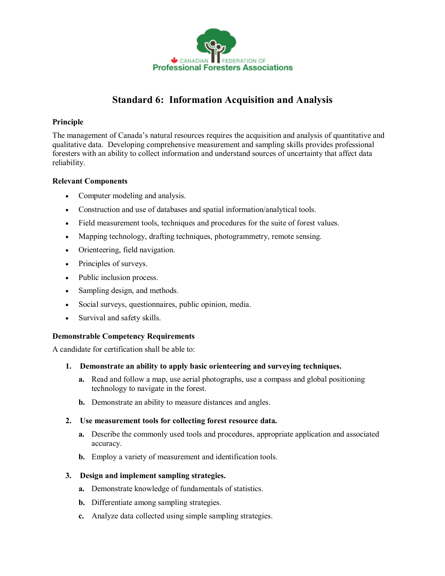

# **Standard 6: Information Acquisition and Analysis**

### **Principle**

The management of Canada's natural resources requires the acquisition and analysis of quantitative and qualitative data. Developing comprehensive measurement and sampling skills provides professional foresters with an ability to collect information and understand sources of uncertainty that affect data reliability.

#### **Relevant Components**

- · Computer modeling and analysis.
- · Construction and use of databases and spatial information/analytical tools.
- · Field measurement tools, techniques and procedures for the suite of forest values.
- · Mapping technology, drafting techniques, photogrammetry, remote sensing.
- · Orienteering, field navigation.
- · Principles of surveys.
- · Public inclusion process.
- Sampling design, and methods.
- · Social surveys, questionnaires, public opinion, media.
- Survival and safety skills.

# **Demonstrable Competency Requirements**

A candidate for certification shall be able to:

- **1. Demonstrate an ability to apply basic orienteering and surveying techniques.**
	- **a.** Read and follow a map, use aerial photographs, use a compass and global positioning technology to navigate in the forest.
	- **b.** Demonstrate an ability to measure distances and angles.
- **2. Use measurement tools for collecting forest resource data.**
	- **a.** Describe the commonly used tools and procedures, appropriate application and associated accuracy.
	- **b.** Employ a variety of measurement and identification tools.

# **3. Design and implement sampling strategies.**

- **a.** Demonstrate knowledge of fundamentals of statistics.
- **b.** Differentiate among sampling strategies.
- **c.** Analyze data collected using simple sampling strategies.